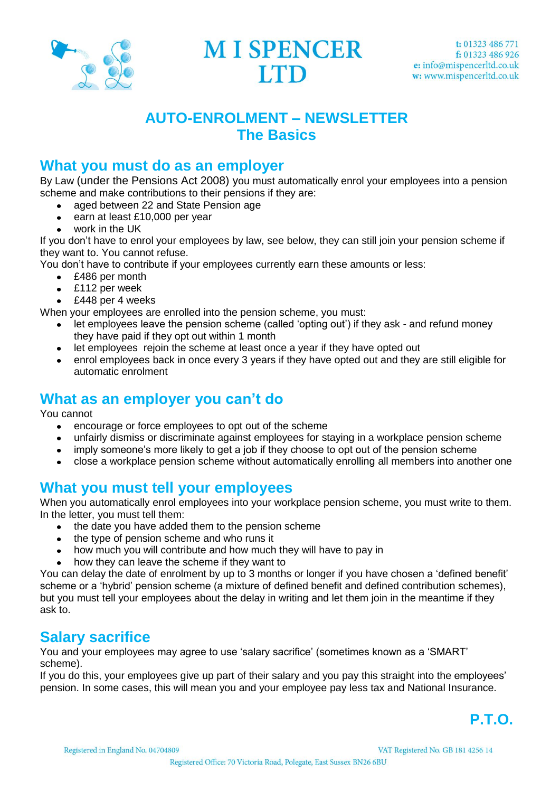

**MI SPENCER ITD** 

# **AUTO-ENROLMENT – NEWSLETTER The Basics**

### **What you must do as an employer**

By Law (under the Pensions Act 2008) you must automatically enrol your employees into a pension scheme and make contributions to their pensions if they are:

- aged between 22 and State Pension age
- earn at least £10,000 per year
- work in the UK

If you don't have to enrol your employees by law, see below, they can still join your pension scheme if they want to. You cannot refuse.

You don't have to contribute if your employees currently earn these amounts or less:

- £486 per month
- £112 per week
- £448 per 4 weeks

When your employees are enrolled into the pension scheme, you must:

- let employees leave the pension scheme (called 'opting out') if they ask and refund money they have paid if they opt out within 1 month
- let employees rejoin the scheme at least once a year if they have opted out
- enrol employees back in once every 3 years if they have opted out and they are still eligible for automatic enrolment

## **What as an employer you can't do**

You cannot

- encourage or force employees to opt out of the scheme  $\bullet$
- unfairly dismiss or discriminate against employees for staying in a workplace pension scheme
- imply someone's more likely to get a job if they choose to opt out of the pension scheme  $\bullet$
- close a workplace pension scheme without automatically enrolling all members into another one

## **What you must tell your employees**

When you automatically enrol employees into your workplace pension scheme, you must write to them. In the letter, you must tell them:

- the date you have added them to the pension scheme
- the type of pension scheme and who runs it
- how much you will contribute and how much they will have to pay in
- how they can leave the scheme if they want to

You can delay the date of enrolment by up to 3 months or longer if you have chosen a 'defined benefit' scheme or a 'hybrid' pension scheme (a mixture of defined benefit and defined contribution schemes), but you must tell your employees about the delay in writing and let them join in the meantime if they ask to.

## **Salary sacrifice**

You and your employees may agree to use 'salary sacrifice' (sometimes known as a 'SMART' scheme).

If you do this, your employees give up part of their salary and you pay this straight into the employees' pension. In some cases, this will mean you and your employee pay less tax and National Insurance.

**P.T.O.**